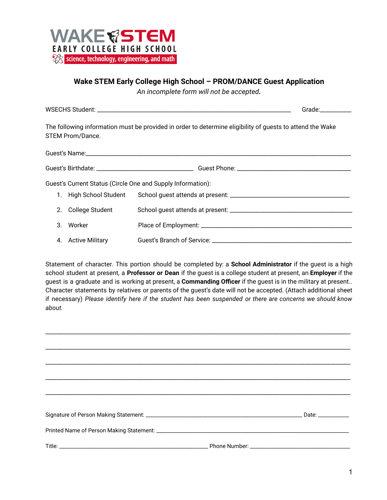

## **Wake STEM Early College High School – PROM/DANCE Guest Application**

*An incomplete form will not be accepted.*

WSECHS Student: \_\_\_\_\_\_\_\_\_\_\_\_\_\_\_\_\_\_\_\_\_\_\_\_\_\_\_\_\_\_\_\_\_\_\_\_\_\_\_\_\_\_\_\_\_\_\_\_\_\_\_\_\_\_\_\_\_\_\_\_\_\_\_\_\_\_\_\_ Grade:\_\_\_\_\_\_\_\_\_\_\_

The following information must be provided in order to determine eligibility of guests to attend the Wake STEM Prom/Dance.

| Guest's Current Status (Circle One and Supply Information): |                        |  |  |  |  |
|-------------------------------------------------------------|------------------------|--|--|--|--|
|                                                             | High School Student    |  |  |  |  |
|                                                             | 2. College Student     |  |  |  |  |
| 3.                                                          | Worker                 |  |  |  |  |
| 4.                                                          | <b>Active Military</b> |  |  |  |  |

Statement of character. This portion should be completed by: a **School Administrator** if the guest is a high school student at present, a **Professor or Dean** if the guest is a college student at present, an **Employer** if the guest is a graduate and is working at present, a **Commanding Officer** if the guest is in the military at present.. Character statements by relatives or parents of the guest's date will not be accepted. (Attach additional sheet if necessary) *Please identify here if the student has been suspended or there are concerns we should know about.*